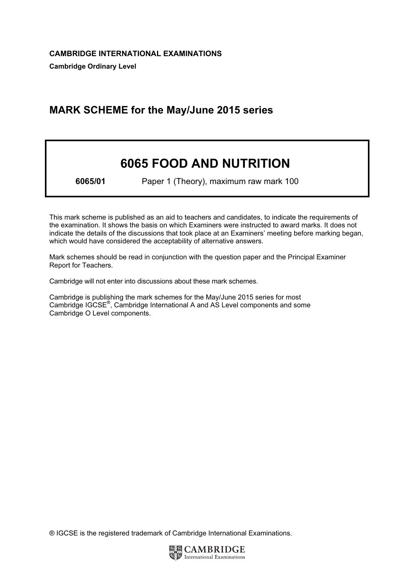## MARK SCHEME for the May/June 2015 series

# 6065 FOOD AND NUTRITION

6065/01 Paper 1 (Theory), maximum raw mark 100

This mark scheme is published as an aid to teachers and candidates, to indicate the requirements of the examination. It shows the basis on which Examiners were instructed to award marks. It does not indicate the details of the discussions that took place at an Examiners' meeting before marking began, which would have considered the acceptability of alternative answers.

Mark schemes should be read in conjunction with the question paper and the Principal Examiner Report for Teachers.

Cambridge will not enter into discussions about these mark schemes.

Cambridge is publishing the mark schemes for the May/June 2015 series for most Cambridge IGCSE*®* , Cambridge International A and AS Level components and some Cambridge O Level components.

® IGCSE is the registered trademark of Cambridge International Examinations.

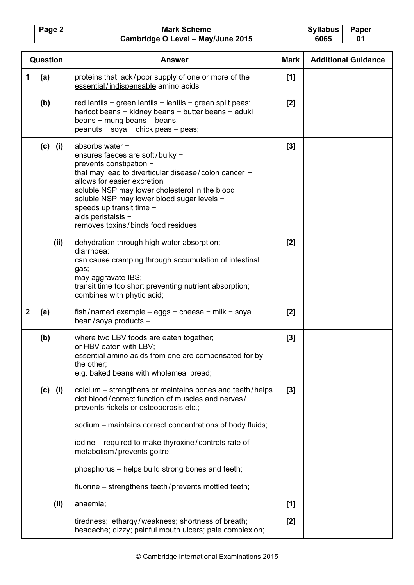| Page 2 | <b>Mark Scheme</b>                | Syllabus | Paper |
|--------|-----------------------------------|----------|-------|
|        | Cambridge O Level - May/June 2015 | 6065     | 01    |

|             | Question   | Answer                                                                                                                                                                                                                                                                                                                                                                                                                   | <b>Mark</b> | <b>Additional Guidance</b> |
|-------------|------------|--------------------------------------------------------------------------------------------------------------------------------------------------------------------------------------------------------------------------------------------------------------------------------------------------------------------------------------------------------------------------------------------------------------------------|-------------|----------------------------|
| 1           | (a)        | proteins that lack/poor supply of one or more of the<br>essential/indispensable amino acids                                                                                                                                                                                                                                                                                                                              | [1]         |                            |
|             | (b)        | red lentils - green lentils - lentils - green split peas;<br>haricot beans - kidney beans - butter beans - aduki<br>beans - mung beans - beans;<br>peanuts - soya - chick peas - peas;                                                                                                                                                                                                                                   | [2]         |                            |
|             | $(c)$ (i)  | absorbs water -<br>ensures faeces are soft/bulky -<br>prevents constipation -<br>that may lead to diverticular disease/colon cancer -<br>allows for easier excretion -<br>soluble NSP may lower cholesterol in the blood -<br>soluble NSP may lower blood sugar levels -<br>speeds up transit time -<br>aids peristalsis -<br>removes toxins/binds food residues -                                                       | [3]         |                            |
|             | (ii)       | dehydration through high water absorption;<br>diarrhoea;<br>can cause cramping through accumulation of intestinal<br>gas;<br>may aggravate IBS;<br>transit time too short preventing nutrient absorption;<br>combines with phytic acid;                                                                                                                                                                                  | [2]         |                            |
| $\mathbf 2$ | (a)        | $fish/named$ example – eggs – cheese – milk – soya<br>bean/soya products-                                                                                                                                                                                                                                                                                                                                                | [2]         |                            |
|             | (b)        | where two LBV foods are eaten together;<br>or HBV eaten with LBV;<br>essential amino acids from one are compensated for by<br>the other;<br>e.g. baked beans with wholemeal bread;                                                                                                                                                                                                                                       | [3]         |                            |
|             | (c)<br>(i) | calcium – strengthens or maintains bones and teeth/helps<br>clot blood/correct function of muscles and nerves/<br>prevents rickets or osteoporosis etc.;<br>sodium – maintains correct concentrations of body fluids;<br>iodine – required to make thyroxine/controls rate of<br>metabolism/prevents goitre;<br>phosphorus - helps build strong bones and teeth;<br>fluorine – strengthens teeth/prevents mottled teeth; | $[3]$       |                            |
|             | (ii)       | anaemia;                                                                                                                                                                                                                                                                                                                                                                                                                 | [1]         |                            |
|             |            | tiredness; lethargy/weakness; shortness of breath;<br>headache; dizzy; painful mouth ulcers; pale complexion;                                                                                                                                                                                                                                                                                                            | $[2]$       |                            |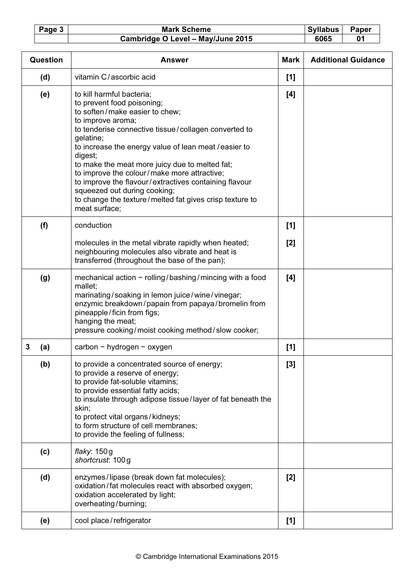|--|--|

| Question | Answer                                                                                                                                                                                                                                                                                                                                                                                                                                                                                                                        | <b>Mark</b>  | <b>Additional Guidance</b> |
|----------|-------------------------------------------------------------------------------------------------------------------------------------------------------------------------------------------------------------------------------------------------------------------------------------------------------------------------------------------------------------------------------------------------------------------------------------------------------------------------------------------------------------------------------|--------------|----------------------------|
| (d)      | vitamin C/ascorbic acid                                                                                                                                                                                                                                                                                                                                                                                                                                                                                                       | [1]          |                            |
| (e)      | to kill harmful bacteria;<br>to prevent food poisoning;<br>to soften/make easier to chew;<br>to improve aroma;<br>to tenderise connective tissue/collagen converted to<br>gelatine;<br>to increase the energy value of lean meat / easier to<br>digest;<br>to make the meat more juicy due to melted fat;<br>to improve the colour/make more attractive;<br>to improve the flavour/extractives containing flavour<br>squeezed out during cooking;<br>to change the texture/melted fat gives crisp texture to<br>meat surface; | [4]          |                            |
| (f)      | conduction<br>molecules in the metal vibrate rapidly when heated;<br>neighbouring molecules also vibrate and heat is<br>transferred (throughout the base of the pan);                                                                                                                                                                                                                                                                                                                                                         | [1]<br>$[2]$ |                            |
| (g)      | mechanical action $-$ rolling/bashing/mincing with a food<br>mallet;<br>marinating/soaking in lemon juice/wine/vinegar;<br>enzymic breakdown/papain from papaya/bromelin from<br>pineapple/ficin from figs;<br>hanging the meat;<br>pressure cooking/moist cooking method/slow cooker;                                                                                                                                                                                                                                        | [4]          |                            |
| 3<br>(a) | carbon - hydrogen - oxygen                                                                                                                                                                                                                                                                                                                                                                                                                                                                                                    | [1]          |                            |
| (b)      | to provide a concentrated source of energy;<br>to provide a reserve of energy;<br>to provide fat-soluble vitamins;<br>to provide essential fatty acids;<br>to insulate through adipose tissue/layer of fat beneath the<br>skin;<br>to protect vital organs/kidneys;<br>to form structure of cell membranes;<br>to provide the feeling of fullness;                                                                                                                                                                            | $[3]$        |                            |
| (c)      | flaky: 150 g<br>shortcrust: 100 g                                                                                                                                                                                                                                                                                                                                                                                                                                                                                             |              |                            |
| (d)      | enzymes/lipase (break down fat molecules);<br>oxidation/fat molecules react with absorbed oxygen;<br>oxidation accelerated by light;<br>overheating/burning;                                                                                                                                                                                                                                                                                                                                                                  | $[2]$        |                            |
| (e)      | cool place/refrigerator                                                                                                                                                                                                                                                                                                                                                                                                                                                                                                       | [1]          |                            |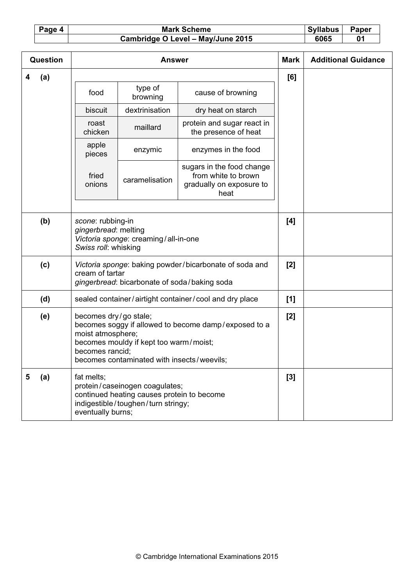| Page 4 | <b>Mark Scheme</b>                | <b>Syllabus</b> | Paper        |
|--------|-----------------------------------|-----------------|--------------|
|        | Cambridge O Level - May/June 2015 | 6065            | $\mathbf{0}$ |

| Question |     |                                                                                                                                                                                                               | <b>Answer</b>                                                                                                      |                                                                                      | <b>Mark</b> | <b>Additional Guidance</b> |
|----------|-----|---------------------------------------------------------------------------------------------------------------------------------------------------------------------------------------------------------------|--------------------------------------------------------------------------------------------------------------------|--------------------------------------------------------------------------------------|-------------|----------------------------|
| 4        | (a) |                                                                                                                                                                                                               |                                                                                                                    |                                                                                      | [6]         |                            |
|          |     | food                                                                                                                                                                                                          | type of<br>browning                                                                                                | cause of browning                                                                    |             |                            |
|          |     | biscuit                                                                                                                                                                                                       | dextrinisation                                                                                                     | dry heat on starch                                                                   |             |                            |
|          |     | roast<br>chicken                                                                                                                                                                                              | maillard                                                                                                           | protein and sugar react in<br>the presence of heat                                   |             |                            |
|          |     | apple<br>pieces                                                                                                                                                                                               | enzymic                                                                                                            | enzymes in the food                                                                  |             |                            |
|          |     | fried<br>onions                                                                                                                                                                                               | caramelisation                                                                                                     | sugars in the food change<br>from white to brown<br>gradually on exposure to<br>heat |             |                            |
|          |     |                                                                                                                                                                                                               |                                                                                                                    |                                                                                      |             |                            |
|          | (b) | scone: rubbing-in<br>gingerbread: melting<br>Victoria sponge: creaming/all-in-one<br>Swiss roll: whisking                                                                                                     |                                                                                                                    | [4]                                                                                  |             |                            |
|          | (c) | cream of tartar                                                                                                                                                                                               | gingerbread: bicarbonate of soda/baking soda                                                                       | Victoria sponge: baking powder/bicarbonate of soda and                               | [2]         |                            |
|          | (d) |                                                                                                                                                                                                               |                                                                                                                    | sealed container/airtight container/cool and dry place                               | [1]         |                            |
|          | (e) | becomes dry/go stale;<br>becomes soggy if allowed to become damp/exposed to a<br>moist atmosphere;<br>becomes mouldy if kept too warm/moist;<br>becomes rancid;<br>becomes contaminated with insects/weevils: |                                                                                                                    | $[2]$                                                                                |             |                            |
| 5        | (a) | fat melts;<br>eventually burns;                                                                                                                                                                               | protein/caseinogen coagulates;<br>continued heating causes protein to become<br>indigestible/toughen/turn stringy; |                                                                                      | [3]         |                            |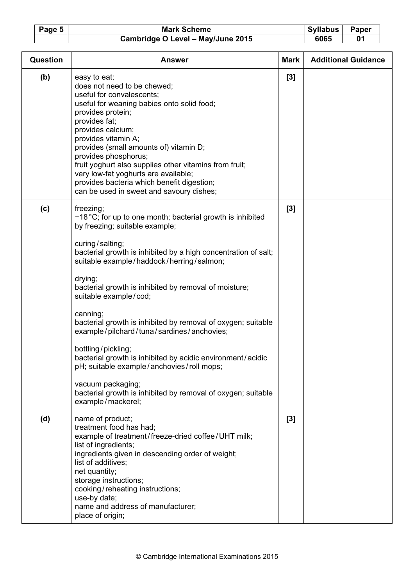|--|--|

| <b>Question</b> | <b>Answer</b>                                                                                                                                                                                                                                                                                                                                                                                                                                                                                                                                                                                                                                                                                                 | <b>Mark</b> | <b>Additional Guidance</b> |
|-----------------|---------------------------------------------------------------------------------------------------------------------------------------------------------------------------------------------------------------------------------------------------------------------------------------------------------------------------------------------------------------------------------------------------------------------------------------------------------------------------------------------------------------------------------------------------------------------------------------------------------------------------------------------------------------------------------------------------------------|-------------|----------------------------|
| (b)             | easy to eat;<br>does not need to be chewed;<br>useful for convalescents;<br>useful for weaning babies onto solid food;<br>provides protein;<br>provides fat;<br>provides calcium;<br>provides vitamin A;<br>provides (small amounts of) vitamin D;<br>provides phosphorus;<br>fruit yoghurt also supplies other vitamins from fruit;<br>very low-fat yoghurts are available;<br>provides bacteria which benefit digestion;<br>can be used in sweet and savoury dishes;                                                                                                                                                                                                                                        | [3]         |                            |
| (c)             | freezing;<br>$-18$ °C; for up to one month; bacterial growth is inhibited<br>by freezing; suitable example;<br>curing/salting;<br>bacterial growth is inhibited by a high concentration of salt;<br>suitable example/haddock/herring/salmon;<br>drying;<br>bacterial growth is inhibited by removal of moisture;<br>suitable example/cod;<br>canning;<br>bacterial growth is inhibited by removal of oxygen; suitable<br>example/pilchard/tuna/sardines/anchovies;<br>bottling/pickling;<br>bacterial growth is inhibited by acidic environment/acidic<br>pH; suitable example/anchovies/roll mops;<br>vacuum packaging;<br>bacterial growth is inhibited by removal of oxygen; suitable<br>example/mackerel; | [3]         |                            |
| (d)             | name of product;<br>treatment food has had;<br>example of treatment/freeze-dried coffee/UHT milk;<br>list of ingredients;<br>ingredients given in descending order of weight;<br>list of additives;<br>net quantity;<br>storage instructions;<br>cooking/reheating instructions;<br>use-by date;<br>name and address of manufacturer;<br>place of origin;                                                                                                                                                                                                                                                                                                                                                     | [3]         |                            |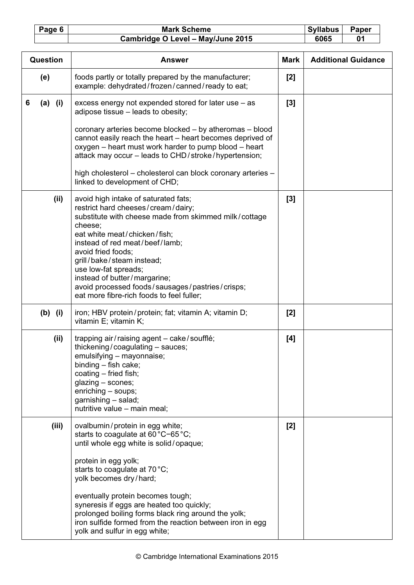| Page 6 | <b>Mark Scheme</b>                | Syllabus | Paper |
|--------|-----------------------------------|----------|-------|
|        | Cambridge O Level - May/June 2015 | 6065     | 01    |

| Question |           | <b>Answer</b>                                                                                                                                                                                                                                                                                                                                                                                                                              | <b>Mark</b> | <b>Additional Guidance</b> |
|----------|-----------|--------------------------------------------------------------------------------------------------------------------------------------------------------------------------------------------------------------------------------------------------------------------------------------------------------------------------------------------------------------------------------------------------------------------------------------------|-------------|----------------------------|
|          | (e)       | foods partly or totally prepared by the manufacturer;<br>example: dehydrated/frozen/canned/ready to eat;                                                                                                                                                                                                                                                                                                                                   | $[2]$       |                            |
| 6        | $(a)$ (i) | excess energy not expended stored for later use - as<br>adipose tissue - leads to obesity;                                                                                                                                                                                                                                                                                                                                                 | $[3]$       |                            |
|          |           | coronary arteries become blocked - by atheromas - blood<br>cannot easily reach the heart - heart becomes deprived of<br>oxygen – heart must work harder to pump blood – heart<br>attack may occur – leads to CHD/stroke/hypertension;                                                                                                                                                                                                      |             |                            |
|          |           | high cholesterol - cholesterol can block coronary arteries -<br>linked to development of CHD;                                                                                                                                                                                                                                                                                                                                              |             |                            |
|          | (ii)      | avoid high intake of saturated fats;<br>restrict hard cheeses/cream/dairy;<br>substitute with cheese made from skimmed milk/cottage<br>cheese;<br>eat white meat/chicken/fish;<br>instead of red meat/beef/lamb;<br>avoid fried foods;<br>grill/bake/steam instead;<br>use low-fat spreads;<br>instead of butter/margarine;<br>avoid processed foods/sausages/pastries/crisps;<br>eat more fibre-rich foods to feel fuller;                | $[3]$       |                            |
|          | $(b)$ (i) | iron; HBV protein/protein; fat; vitamin A; vitamin D;<br>vitamin E; vitamin K;                                                                                                                                                                                                                                                                                                                                                             | $[2]$       |                            |
|          | (ii)      | trapping air/raising agent - cake/soufflé;<br>thickening/coagulating $-$ sauces;<br>emulsifying - mayonnaise;<br>binding $-$ fish cake;<br>coating $-$ fried fish;<br>glazing - scones;<br>enriching - soups;<br>garnishing - salad;<br>nutritive value - main meal;                                                                                                                                                                       | [4]         |                            |
|          | (iii)     | ovalbumin/protein in egg white;<br>starts to coagulate at 60 °C-65 °C;<br>until whole egg white is solid/opaque;<br>protein in egg yolk;<br>starts to coagulate at 70 °C;<br>yolk becomes dry/hard;<br>eventually protein becomes tough;<br>syneresis if eggs are heated too quickly;<br>prolonged boiling forms black ring around the yolk;<br>iron sulfide formed from the reaction between iron in egg<br>yolk and sulfur in egg white; | $[2]$       |                            |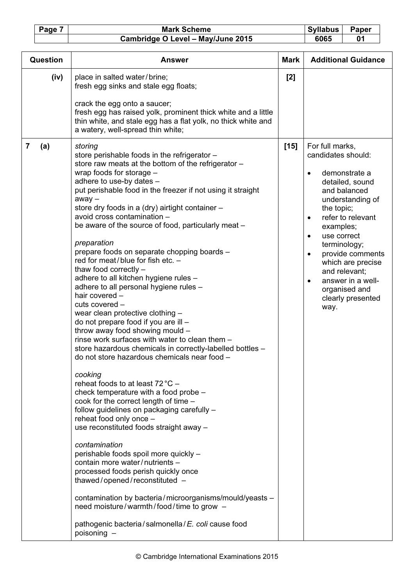|--|--|

| Question | <b>Answer</b>                                                                                                                                                                                                                                                                                                                                                                                                                                                                                                                                                                                                                                                                                                                                                                                                                                                                                                                                                                                                                                                                                                                                                                                                                                                                                                                                                                                                                                                                                                                     | <b>Mark</b> | <b>Additional Guidance</b>                                                                                                                                                                                                                                                                                                                                                                 |
|----------|-----------------------------------------------------------------------------------------------------------------------------------------------------------------------------------------------------------------------------------------------------------------------------------------------------------------------------------------------------------------------------------------------------------------------------------------------------------------------------------------------------------------------------------------------------------------------------------------------------------------------------------------------------------------------------------------------------------------------------------------------------------------------------------------------------------------------------------------------------------------------------------------------------------------------------------------------------------------------------------------------------------------------------------------------------------------------------------------------------------------------------------------------------------------------------------------------------------------------------------------------------------------------------------------------------------------------------------------------------------------------------------------------------------------------------------------------------------------------------------------------------------------------------------|-------------|--------------------------------------------------------------------------------------------------------------------------------------------------------------------------------------------------------------------------------------------------------------------------------------------------------------------------------------------------------------------------------------------|
| (iv)     | place in salted water/brine;<br>fresh egg sinks and stale egg floats;<br>crack the egg onto a saucer;<br>fresh egg has raised yolk, prominent thick white and a little<br>thin white, and stale egg has a flat yolk, no thick white and<br>a watery, well-spread thin white;                                                                                                                                                                                                                                                                                                                                                                                                                                                                                                                                                                                                                                                                                                                                                                                                                                                                                                                                                                                                                                                                                                                                                                                                                                                      | $[2]$       |                                                                                                                                                                                                                                                                                                                                                                                            |
| 7<br>(a) | storing<br>store perishable foods in the refrigerator -<br>store raw meats at the bottom of the refrigerator -<br>wrap foods for storage $-$<br>adhere to use-by dates -<br>put perishable food in the freezer if not using it straight<br>$away -$<br>store dry foods in a (dry) airtight container -<br>avoid cross contamination -<br>be aware of the source of food, particularly meat -<br>preparation<br>prepare foods on separate chopping boards -<br>red for meat/blue for fish etc. -<br>thaw food correctly -<br>adhere to all kitchen hygiene rules -<br>adhere to all personal hygiene rules -<br>hair covered -<br>cuts covered -<br>wear clean protective clothing -<br>do not prepare food if you are ill -<br>throw away food showing mould -<br>rinse work surfaces with water to clean them -<br>store hazardous chemicals in correctly-labelled bottles -<br>do not store hazardous chemicals near food -<br>cooking<br>reheat foods to at least 72 °C -<br>check temperature with a food probe -<br>cook for the correct length of time -<br>follow guidelines on packaging carefully -<br>reheat food only once -<br>use reconstituted foods straight away -<br>contamination<br>perishable foods spoil more quickly -<br>contain more water/nutrients -<br>processed foods perish quickly once<br>thawed/opened/reconstituted -<br>contamination by bacteria/microorganisms/mould/yeasts -<br>need moisture/warmth/food/time to grow -<br>pathogenic bacteria/salmonella/E. coli cause food<br>poisoning - | $[15]$      | For full marks,<br>candidates should:<br>demonstrate a<br>$\bullet$<br>detailed, sound<br>and balanced<br>understanding of<br>the topic;<br>refer to relevant<br>$\bullet$<br>examples;<br>use correct<br>$\bullet$<br>terminology;<br>provide comments<br>$\bullet$<br>which are precise<br>and relevant;<br>answer in a well-<br>$\bullet$<br>organised and<br>clearly presented<br>way. |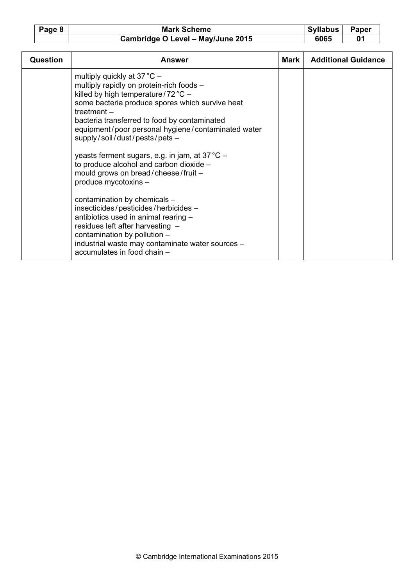| Page 8 | <b>Mark Scheme</b>                | Syllabus | <b>Paper</b> |
|--------|-----------------------------------|----------|--------------|
|        | Cambridge O Level - May/June 2015 | 6065     | 01           |

| <b>Question</b> | Answer                                                                                                                                                                                                                                                                                                                                                                                                                                                                                                                                                                                                                         | Mark | <b>Additional Guidance</b> |
|-----------------|--------------------------------------------------------------------------------------------------------------------------------------------------------------------------------------------------------------------------------------------------------------------------------------------------------------------------------------------------------------------------------------------------------------------------------------------------------------------------------------------------------------------------------------------------------------------------------------------------------------------------------|------|----------------------------|
|                 | multiply quickly at $37^{\circ}$ C –<br>multiply rapidly on protein-rich foods -<br>killed by high temperature/72 $\degree$ C –<br>some bacteria produce spores which survive heat<br>treatment $-$<br>bacteria transferred to food by contaminated<br>equipment/poor personal hygiene/contaminated water<br>$supply / soil / dust / pests / pets -$<br>yeasts ferment sugars, e.g. in jam, at 37 °C -<br>to produce alcohol and carbon dioxide -<br>mould grows on bread/cheese/fruit-<br>produce mycotoxins -<br>contamination by chemicals -<br>insecticides/pesticides/herbicides-<br>antibiotics used in animal rearing - |      |                            |
|                 | residues left after harvesting -<br>contamination by pollution $-$<br>industrial waste may contaminate water sources -<br>accumulates in food chain -                                                                                                                                                                                                                                                                                                                                                                                                                                                                          |      |                            |